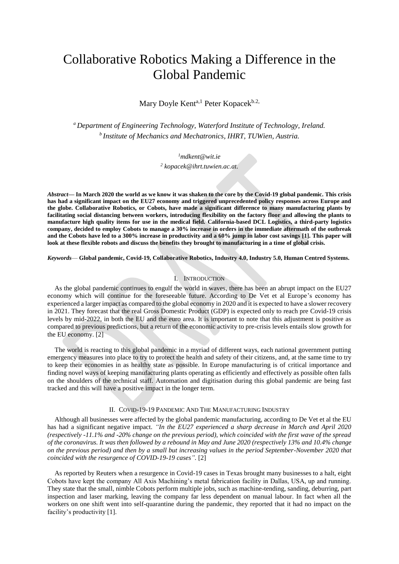# Collaborative Robotics Making a Difference in the Global Pandemic

Mary Doyle Kent<sup>a,1</sup> Peter Kopacek<sup>b.2,</sup>

*<sup>a</sup>Department of Engineering Technology, Waterford Institute of Technology, Ireland. <sup>b</sup>Institute of Mechanics and Mechatronics, IHRT, TUWien, Austria.*

*<sup>1</sup>[mdkent@wit.ie](mailto:mdkent@wit.ie)*

*2 [kopacek@ihrt.tuwien.ac.at.](mailto:kopacek@ihrt.tuwien.ac.at)*

*Abstract***— In March 2020 the world as we know it was shaken to the core by the Covid-19 global pandemic. This crisis has had a significant impact on the EU27 economy and triggered unprecedented policy responses across Europe and the globe. Collaborative Robotics, or Cobots, have made a significant difference to many manufacturing plants by facilitating social distancing between workers, introducing flexibility on the factory floor and allowing the plants to manufacture high quality items for use in the medical field. California-based DCL Logistics, a third-party logistics company, decided to employ Cobots to manage a 30% increase in orders in the immediate aftermath of the outbreak and the Cobots have led to a 300% increase in productivity and a 60% jump in labor cost savings [1]. This paper will look at these flexible robots and discuss the benefits they brought to manufacturing in a time of global crisis.**

*Keywords*— **Global pandemic, Covid-19, Collaborative Robotics, Industry 4.0, Industry 5.0, Human Centred Systems.** 

## I. INTRODUCTION

As the global pandemic continues to engulf the world in waves, there has been an abrupt impact on the EU27 economy which will continue for the foreseeable future. According to De Vet et al Europe's economy has experienced a larger impact as compared to the global economy in 2020 and it is expected to have a slower recovery in 2021. They forecast that the real Gross Domestic Product (GDP) is expected only to reach pre Covid-19 crisis levels by mid-2022, in both the EU and the euro area. It is important to note that this adjustment is positive as compared to previous predictions, but a return of the economic activity to pre-crisis levels entails slow growth for the EU economy. [2]

The world is reacting to this global pandemic in a myriad of different ways, each national government putting emergency measures into place to try to protect the health and safety of their citizens, and, at the same time to try to keep their economies in as healthy state as possible. In Europe manufacturing is of critical importance and finding novel ways of keeping manufacturing plants operating as efficiently and effectively as possible often falls on the shoulders of the technical staff. Automation and digitisation during this global pandemic are being fast tracked and this will have a positive impact in the longer term.

## II. COVID-19-19 PANDEMIC AND THE MANUFACTURING INDUSTRY

Although all businesses were affected by the global pandemic manufacturing, according to De Vet et al the EU has had a significant negative impact. *"In the EU27 experienced a sharp decrease in March and April 2020 (respectively -11.1% and -20% change on the previous period), which coincided with the first wave of the spread of the coronavirus. It was then followed by a rebound in May and June 2020 (respectively 13% and 10.4% change on the previous period) and then by a small but increasing values in the period September-November 2020 that coincided with the resurgence of COVID-19-19 cases".* [2]

As reported by Reuters when a resurgence in Covid-19 cases in Texas brought many businesses to a halt, eight Cobots have kept the company All Axis Machining's metal fabrication facility in Dallas, USA, up and running. They state that the small, nimble Cobots perform multiple jobs, such as machine-tending, sanding, deburring, part inspection and laser marking, leaving the company far less dependent on manual labour. In fact when all the workers on one shift went into self-quarantine during the pandemic, they reported that it had no impact on the facility's productivity [1].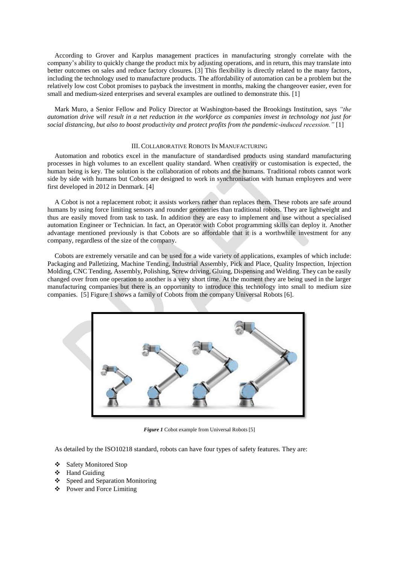According to Grover and Karplus management practices in manufacturing strongly correlate with the company's ability to quickly change the product mix by adjusting operations, and in return, this may translate into better outcomes on sales and reduce factory closures. [3] This flexibility is directly related to the many factors, including the technology used to manufacture products. The affordability of automation can be a problem but the relatively low cost Cobot promises to payback the investment in months, making the changeover easier, even for small and medium-sized enterprises and several examples are outlined to demonstrate this. [1]

Mark Muro, a Senior Fellow and Policy Director at Washington-based the Brookings Institution, says *"the automation drive will result in a net reduction in the workforce as companies invest in technology not just for social distancing, but also to boost productivity and protect profits from the pandemic-induced recession."* [1]

### III. COLLABORATIVE ROBOTS IN MANUFACTURING

Automation and robotics excel in the manufacture of standardised products using standard manufacturing processes in high volumes to an excellent quality standard. When creativity or customisation is expected, the human being is key. The solution is the collaboration of robots and the humans. Traditional robots cannot work side by side with humans but Cobots are designed to work in synchronisation with human employees and were first developed in 2012 in Denmark. [4]

A Cobot is not a replacement robot; it assists workers rather than replaces them. These robots are safe around humans by using force limiting sensors and rounder geometries than traditional robots. They are lightweight and thus are easily moved from task to task. In addition they are easy to implement and use without a specialised automation Engineer or Technician. In fact, an Operator with Cobot programming skills can deploy it. Another advantage mentioned previously is that Cobots are so affordable that it is a worthwhile investment for any company, regardless of the size of the company.

Cobots are extremely versatile and can be used for a wide variety of applications, examples of which include: Packaging and Palletizing, Machine Tending, Industrial Assembly, Pick and Place, Quality Inspection, Injection Molding, CNC Tending, Assembly, Polishing, Screw driving, Gluing, Dispensing and Welding. They can be easily changed over from one operation to another is a very short time. At the moment they are being used in the larger manufacturing companies but there is an opportunity to introduce this technology into small to medium size companies. [5] Figure 1 shows a family of Cobots from the company Universal Robots [6].



*Figure 1* Cobot example from Universal Robots [5]

As detailed by the ISO10218 standard, robots can have four types of safety features. They are:

- Safety Monitored Stop
- ❖ Hand Guiding
- Speed and Separation Monitoring
- Power and Force Limiting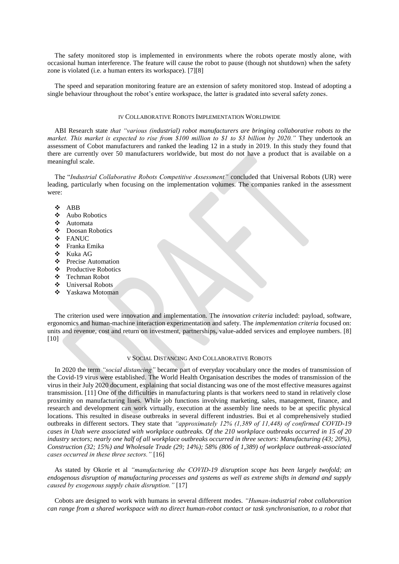The safety monitored stop is implemented in environments where the robots operate mostly alone, with occasional human interference. The feature will cause the robot to pause (though not shutdown) when the safety zone is violated (i.e. a human enters its workspace). [7][8]

The speed and separation monitoring feature are an extension of safety monitored stop. Instead of adopting a single behaviour throughout the robot's entire workspace, the latter is gradated into several safety zones.

#### IV COLLABORATIVE ROBOTS IMPLEMENTATION WORLDWIDE

ABI Research state *that "various (industrial) robot manufacturers are bringing collaborative robots to the market. This market is expected to rise from \$100 million to \$1 to \$3 billion by 2020."* They undertook an assessment of Cobot manufacturers and ranked the leading 12 in a study in 2019. In this study they found that there are currently over 50 manufacturers worldwide, but most do not have a product that is available on a meaningful scale.

The "*Industrial Collaborative Robots Competitive Assessment"* concluded that Universal Robots (UR) were leading, particularly when focusing on the implementation volumes. The companies ranked in the assessment were:

- ABB
- Aubo Robotics
- Automata
- Doosan Robotics
- FANUC
- Franka Emika
- Kuka AG
- ❖ Precise Automation
- Productive Robotics
- Techman Robot
- ❖ Universal Robots
- Yaskawa Motoman

The criterion used were innovation and implementation. The *innovation criteria* included: payload, software, ergonomics and human-machine interaction experimentation and safety. The *implementation criteria* focused on: units and revenue, cost and return on investment, partnerships, value-added services and employee numbers. [8] [10]

## V SOCIAL DISTANCING AND COLLABORATIVE ROBOTS

In 2020 the term *"social distancing"* became part of everyday vocabulary once the modes of transmission of the Covid-19 virus were established. The World Health Organisation describes the modes of transmission of the virus in their July 2020 document, explaining that social distancing was one of the most effective measures against transmission. [11] One of the difficulties in manufacturing plants is that workers need to stand in relatively close proximity on manufacturing lines. While job functions involving marketing, sales, management, finance, and research and development can work virtually, execution at the assembly line needs to be at specific physical locations. This resulted in disease outbreaks in several different industries. Bui et al comprehensively studied outbreaks in different sectors. They state that *"approximately 12% (1,389 of 11,448) of confirmed COVID-19 cases in Utah were associated with workplace outbreaks. Of the 210 workplace outbreaks occurred in 15 of 20 industry sectors; nearly one half of all workplace outbreaks occurred in three sectors: Manufacturing (43; 20%), Construction (32; 15%) and Wholesale Trade (29; 14%); 58% (806 of 1,389) of workplace outbreak-associated cases occurred in these three sectors."* [16]

As stated by Okorie et al *"manufacturing the COVID-19 disruption scope has been largely twofold; an endogenous disruption of manufacturing processes and systems as well as extreme shifts in demand and supply caused by exogenous supply chain disruption."* [17]

Cobots are designed to work with humans in several different modes. *"Human-industrial robot collaboration can range from a shared workspace with no direct human-robot contact or task synchronisation, to a robot that*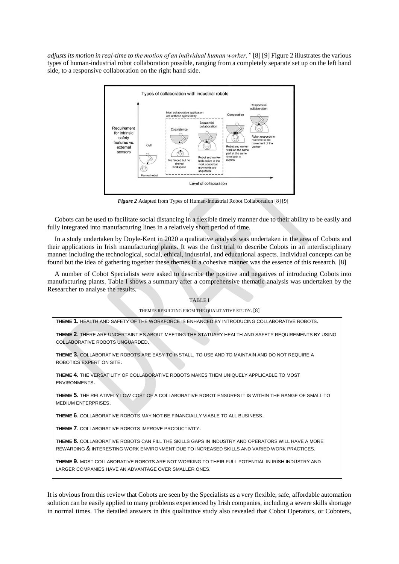*adjusts its motion in real-time to the motion of an individual human worker."* [8] [9] Figure 2 illustrates the various types of human-industrial robot collaboration possible, ranging from a completely separate set up on the left hand side, to a responsive collaboration on the right hand side.



*Figure 2* Adapted from Types of Human-Industrial Robot Collaboration [8] [9]

Cobots can be used to facilitate social distancing in a flexible timely manner due to their ability to be easily and fully integrated into manufacturing lines in a relatively short period of time.

In a study undertaken by Doyle-Kent in 2020 a qualitative analysis was undertaken in the area of Cobots and their applications in Irish manufacturing plants. It was the first trial to describe Cobots in an interdisciplinary manner including the technological, social, ethical, industrial, and educational aspects. Individual concepts can be found but the idea of gathering together these themes in a cohesive manner was the essence of this research. [8]

A number of Cobot Specialists were asked to describe the positive and negatives of introducing Cobots into manufacturing plants. Table I shows a summary after a comprehensive thematic analysis was undertaken by the Researcher to analyse the results.

## TABLE I

THEMES RESULTING FROM THE QUALITATIVE STUDY. [8]

**THEME 1.** HEALTH AND SAFETY OF THE WORKFORCE IS ENHANCED BY INTRODUCING COLLABORATIVE ROBOTS.

**THEME 2**. THERE ARE UNCERTAINTIES ABOUT MEETING THE STATUARY HEALTH AND SAFETY REQUIREMENTS BY USING COLLABORATIVE ROBOTS UNGUARDED.

**THEME 3.** COLLABORATIVE ROBOTS ARE EASY TO INSTALL, TO USE AND TO MAINTAIN AND DO NOT REQUIRE A ROBOTICS EXPERT ON SITE.

**THEME 4.** THE VERSATILITY OF COLLABORATIVE ROBOTS MAKES THEM UNIQUELY APPLICABLE TO MOST ENVIRONMENTS.

**THEME 5.** THE RELATIVELY LOW COST OF A COLLABORATIVE ROBOT ENSURES IT IS WITHIN THE RANGE OF SMALL TO MEDIUM ENTERPRISES.

**THEME 6**. COLLABORATIVE ROBOTS MAY NOT BE FINANCIALLY VIABLE TO ALL BUSINESS.

**THEME 7**. COLLABORATIVE ROBOTS IMPROVE PRODUCTIVITY.

**THEME 8.** COLLABORATIVE ROBOTS CAN FILL THE SKILLS GAPS IN INDUSTRY AND OPERATORS WILL HAVE A MORE REWARDING & INTERESTING WORK ENVIRONMENT DUE TO INCREASED SKILLS AND VARIED WORK PRACTICES.

**THEME 9.** MOST COLLABORATIVE ROBOTS ARE NOT WORKING TO THEIR FULL POTENTIAL IN IRISH INDUSTRY AND LARGER COMPANIES HAVE AN ADVANTAGE OVER SMALLER ONES.

It is obvious from this review that Cobots are seen by the Specialists as a very flexible, safe, affordable automation solution can be easily applied to many problems experienced by Irish companies, including a severe skills shortage in normal times. The detailed answers in this qualitative study also revealed that Cobot Operators, or Coboters,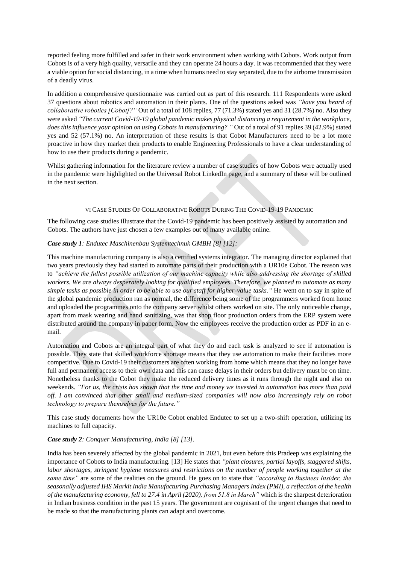reported feeling more fulfilled and safer in their work environment when working with Cobots. Work output from Cobots is of a very high quality, versatile and they can operate 24 hours a day. It was recommended that they were a viable option for social distancing, in a time when humans need to stay separated, due to the airborne transmission of a deadly virus.

In addition a comprehensive questionnaire was carried out as part of this research. 111 Respondents were asked 37 questions about robotics and automation in their plants. One of the questions asked was *"have you heard of collaborative robotics [Cobot]?"* Out of a total of 108 replies, 77 (71.3%) stated yes and 31 (28.7%) no. Also they were asked *"The current Covid-19-19 global pandemic makes physical distancing a requirement in the workplace, does this influence your opinion on using Cobots in manufacturing? "* Out of a total of 91 replies 39 (42.9%) stated yes and 52 (57.1%) no. An interpretation of these results is that Cobot Manufacturers need to be a lot more proactive in how they market their products to enable Engineering Professionals to have a clear understanding of how to use their products during a pandemic.

Whilst gathering information for the literature review a number of case studies of how Cobots were actually used in the pandemic were highlighted on the Universal Robot LinkedIn page, and a summary of these will be outlined in the next section.

# VI CASE STUDIES OF COLLABORATIVE ROBOTS DURING THE COVID-19-19 PANDEMIC

The following case studies illustrate that the Covid-19 pandemic has been positively assisted by automation and Cobots. The authors have just chosen a few examples out of many available online.

# *Case study 1: Endutec Maschinenbau Systemtechnuk GMBH [8] [12]:*

This machine manufacturing company is also a certified systems integrator. The managing director explained that two years previously they had started to automate parts of their production with a UR10e Cobot. The reason was to *"achieve the fullest possible utilization of our machine capacity while also addressing the shortage of skilled workers. We are always desperately looking for qualified employees. Therefore, we planned to automate as many simple tasks as possible in order to be able to use our staff for higher-value tasks."* He went on to say in spite of the global pandemic production ran as normal, the difference being some of the programmers worked from home and uploaded the programmes onto the company server whilst others worked on site. The only noticeable change, apart from mask wearing and hand sanitizing, was that shop floor production orders from the ERP system were distributed around the company in paper form. Now the employees receive the production order as PDF in an email.

Automation and Cobots are an integral part of what they do and each task is analyzed to see if automation is possible. They state that skilled workforce shortage means that they use automation to make their facilities more competitive. Due to Covid-19 their customers are often working from home which means that they no longer have full and permanent access to their own data and this can cause delays in their orders but delivery must be on time. Nonetheless thanks to the Cobot they make the reduced delivery times as it runs through the night and also on weekends. *"For us, the crisis has shown that the time and money we invested in automation has more than paid off. I am convinced that other small and medium-sized companies will now also increasingly rely on robot technology to prepare themselves for the future."*

This case study documents how the UR10e Cobot enabled Endutec to set up a two-shift operation, utilizing its machines to full capacity.

# *Case study 2: Conquer Manufacturing, India [8] [13].*

India has been severely affected by the global pandemic in 2021, but even before this Pradeep was explaining the importance of Cobots to India manufacturing. [13] He states that *"plant closures, partial layoffs, staggered shifts, labor shortages, stringent hygiene measures and restrictions on the number of people working together at the same time"* are some of the realities on the ground. He goes on to state that *"according to Business Insider, the seasonally adjusted IHS Markit India Manufacturing Purchasing Managers Index (PMI), a reflection of the health of the manufacturing economy, fell to 27.4 in April (2020), from 51.8 in March"* which is the sharpest deterioration in Indian business condition in the past 15 years. The government are cognisant of the urgent changes that need to be made so that the manufacturing plants can adapt and overcome.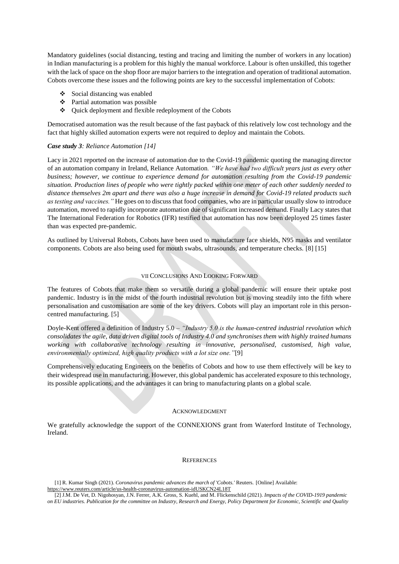Mandatory guidelines (social distancing, testing and tracing and limiting the number of workers in any location) in Indian manufacturing is a problem for this highly the manual workforce. Labour is often unskilled, this together with the lack of space on the shop floor are major barriers to the integration and operation of traditional automation. Cobots overcome these issues and the following points are key to the successful implementation of Cobots:

- $\div$  Social distancing was enabled
- Partial automation was possible
- Quick deployment and flexible redeployment of the Cobots

Democratised automation was the result because of the fast payback of this relatively low cost technology and the fact that highly skilled automation experts were not required to deploy and maintain the Cobots.

## *Case study 3: Reliance Automation [14]*

Lacy in 2021 reported on the increase of automation due to the Covid-19 pandemic quoting the managing director of an automation company in Ireland, Reliance Automation*. "We have had two difficult years just as every other business; however, we continue to experience demand for automation resulting from the Covid-19 pandemic situation. Production lines of people who were tightly packed within one meter of each other suddenly needed to distance themselves 2m apart and there was also a huge increase in demand for Covid-19 related products such as testing and vaccines."* He goes on to discuss that food companies, who are in particular usually slow to introduce automation, moved to rapidly incorporate automation due of significant increased demand. Finally Lacy states that The International Federation for Robotics (IFR) testified that automation has now been deployed 25 times faster than was expected pre-pandemic.

As outlined by Universal Robots, Cobots have been used to manufacture face shields, N95 masks and ventilator components. Cobots are also being used for mouth swabs, ultrasounds, and temperature checks. [8] [15]

## VII CONCLUSIONS AND LOOKING FORWARD

The features of Cobots that make them so versatile during a global pandemic will ensure their uptake post pandemic. Industry is in the midst of the fourth industrial revolution but is moving steadily into the fifth where personalisation and customisation are some of the key drivers. Cobots will play an important role in this personcentred manufacturing. [5]

Doyle-Kent offered a definition of Industry 5.0 – *"Industry 5.0 is the human-centred industrial revolution which consolidates the agile, data driven digital tools of Industry 4.0 and synchronises them with highly trained humans working with collaborative technology resulting in innovative, personalised, customised, high value, environmentally optimized, high quality products with a lot size one."*[9]

Comprehensively educating Engineers on the benefits of Cobots and how to use them effectively will be key to their widespread use in manufacturing. However, this global pandemic has accelerated exposure to this technology, its possible applications, and the advantages it can bring to manufacturing plants on a global scale.

#### ACKNOWLEDGMENT

We gratefully acknowledge the support of the CONNEXIONS grant from Waterford Institute of Technology, Ireland.

## **REFERENCES**

[1] R. Kumar Singh (2021). *Coronavirus pandemic advances the march of 'Cobots.'* Reuters. [Online] Available: https://www.reuters.com/article/us-health-coronavirus-automation-idUSKCN24L18T

<sup>[2]</sup> J.M. De Vet, D. Nigohosyan, J.N. Ferrer, A.K. Gross, S. Kuehl, and M. Flickenschild (2021). *Impacts of the COVID-1919 pandemic on EU industries. Publication for the committee on Industry, Research and Energy, Policy Department for Economic, Scientific and Quality*